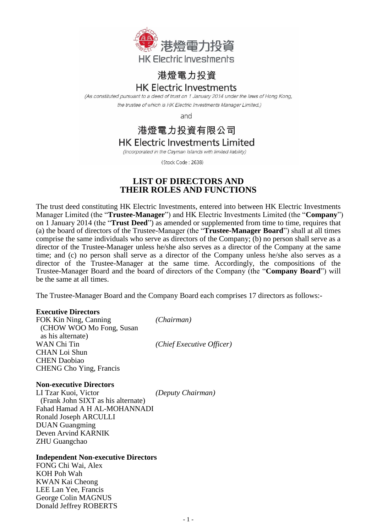

# 港燈電力投資

## **HK Electric Investments**

(As constituted pursuant to a deed of trust on 1 January 2014 under the laws of Hong Kong, the trustee of which is HK Electric Investments Manager Limited.)

and

## 港燈電力投資有限公司

**HK Electric Investments Limited** 

(Incorporated in the Cayman Islands with limited liability)

(Stock Code: 2638)

## **LIST OF DIRECTORS AND THEIR ROLES AND FUNCTIONS**

The trust deed constituting HK Electric Investments, entered into between HK Electric Investments Manager Limited (the "**Trustee-Manager**") and HK Electric Investments Limited (the "**Company**") on 1 January 2014 (the "**Trust Deed**") as amended or supplemented from time to time, requires that (a) the board of directors of the Trustee-Manager (the "**Trustee-Manager Board**") shall at all times comprise the same individuals who serve as directors of the Company; (b) no person shall serve as a director of the Trustee-Manager unless he/she also serves as a director of the Company at the same time; and (c) no person shall serve as a director of the Company unless he/she also serves as a director of the Trustee-Manager at the same time. Accordingly, the compositions of the Trustee-Manager Board and the board of directors of the Company (the "**Company Board**") will be the same at all times.

The Trustee-Manager Board and the Company Board each comprises 17 directors as follows:-

#### **Executive Directors**

FOK Kin Ning, Canning *(Chairman)* (CHOW WOO Mo Fong, Susan as his alternate) WAN Chi Tin *(Chief Executive Officer)* CHAN Loi Shun CHEN Daobiao CHENG Cho Ying, Francis

#### **Non-executive Directors**

LI Tzar Kuoi, Victor *(Deputy Chairman)* (Frank John SIXT as his alternate) Fahad Hamad A H AL-MOHANNADI Ronald Joseph ARCULLI DUAN Guangming Deven Arvind KARNIK ZHU Guangchao

### **Independent Non-executive Directors**

FONG Chi Wai, Alex KOH Poh Wah KWAN Kai Cheong LEE Lan Yee, Francis George Colin MAGNUS Donald Jeffrey ROBERTS